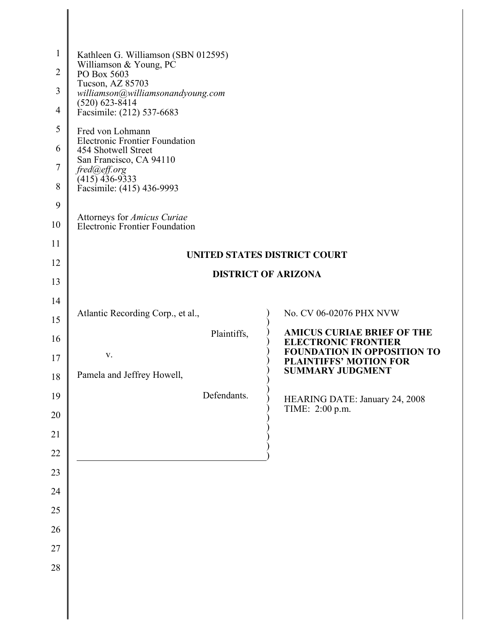| 1<br>$\overline{2}$ | Kathleen G. Williamson (SBN 012595)<br>Williamson & Young, PC<br>PO Box 5603       |                                                                     |  |
|---------------------|------------------------------------------------------------------------------------|---------------------------------------------------------------------|--|
| 3                   | Tucson, AZ 85703                                                                   |                                                                     |  |
| $\overline{4}$      | williamson@williamsonandyoung.com<br>$(520)$ 623-8414<br>Facsimile: (212) 537-6683 |                                                                     |  |
| 5                   | Fred von Lohmann                                                                   |                                                                     |  |
| 6                   | <b>Electronic Frontier Foundation</b><br>454 Shotwell Street                       |                                                                     |  |
| $\overline{7}$      | San Francisco, CA 94110<br>fred@eff.org                                            |                                                                     |  |
| 8                   | $(415)$ 436-9333<br>Facsimile: (415) 436-9993                                      |                                                                     |  |
| 9                   |                                                                                    |                                                                     |  |
| 10                  | Attorneys for Amicus Curiae<br>Electronic Frontier Foundation                      |                                                                     |  |
| 11                  |                                                                                    |                                                                     |  |
| 12                  | UNITED STATES DISTRICT COURT<br><b>DISTRICT OF ARIZONA</b>                         |                                                                     |  |
| 13                  |                                                                                    |                                                                     |  |
| 14                  |                                                                                    | No. CV 06-02076 PHX NVW                                             |  |
| 15                  | Atlantic Recording Corp., et al.,                                                  |                                                                     |  |
| 16                  | Plaintiffs,                                                                        | <b>AMICUS CURIAE BRIEF OF THE</b><br><b>ELECTRONIC FRONTIER</b>     |  |
| 17                  | V.                                                                                 | <b>FOUNDATION IN OPPOSITION TO</b><br><b>PLAINTIFFS' MOTION FOR</b> |  |
| 18                  | Pamela and Jeffrey Howell,                                                         | <b>SUMMARY JUDGMENT</b>                                             |  |
| 19<br>20            | Defendants.                                                                        | HEARING DATE: January 24, 2008<br>TIME: 2:00 p.m.                   |  |
| 21                  |                                                                                    |                                                                     |  |
| 22                  |                                                                                    |                                                                     |  |
| 23                  |                                                                                    |                                                                     |  |
| 24                  |                                                                                    |                                                                     |  |
| 25                  |                                                                                    |                                                                     |  |
| 26                  |                                                                                    |                                                                     |  |
| 27                  |                                                                                    |                                                                     |  |
| 28                  |                                                                                    |                                                                     |  |
|                     |                                                                                    |                                                                     |  |
|                     |                                                                                    |                                                                     |  |

I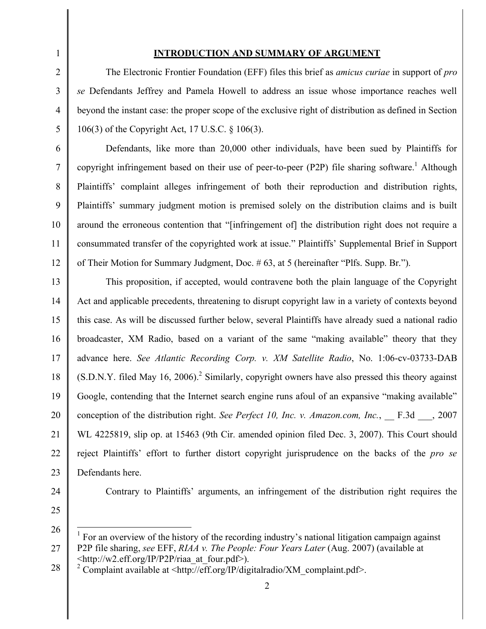#### **INTRODUCTION AND SUMMARY OF ARGUMENT**

The Electronic Frontier Foundation (EFF) files this brief as *amicus curiae* in support of *pro se* Defendants Jeffrey and Pamela Howell to address an issue whose importance reaches well beyond the instant case: the proper scope of the exclusive right of distribution as defined in Section 106(3) of the Copyright Act, 17 U.S.C. § 106(3).

Defendants, like more than 20,000 other individuals, have been sued by Plaintiffs for copyright infringement based on their use of peer-to-peer (P2P) file sharing software. <sup>1</sup> Although Plaintiffs' complaint alleges infringement of both their reproduction and distribution rights, Plaintiffs' summary judgment motion is premised solely on the distribution claims and is built around the erroneous contention that "[infringement of] the distribution right does not require a consummated transfer of the copyrighted work at issue." Plaintiffs' Supplemental Brief in Support of Their Motion for Summary Judgment, Doc. # 63, at 5 (hereinafter "Plfs. Supp. Br.").

13 14 15 16 17 18 19 20 21 22 23 This proposition, if accepted, would contravene both the plain language of the Copyright Act and applicable precedents, threatening to disrupt copyright law in a variety of contexts beyond this case. As will be discussed further below, several Plaintiffs have already sued a national radio broadcaster, XM Radio, based on a variant of the same "making available" theory that they advance here. *See Atlantic Recording Corp. v. XM Satellite Radio*, No. 1:06-cv-03733-DAB  $(S.D.N.Y.$  filed May 16, 2006).<sup>2</sup> Similarly, copyright owners have also pressed this theory against Google, contending that the Internet search engine runs afoul of an expansive "making available" conception of the distribution right. *See Perfect 10, Inc. v. Amazon.com, Inc.*, \_\_ F.3d \_\_\_, 2007 WL 4225819, slip op. at 15463 (9th Cir. amended opinion filed Dec. 3, 2007). This Court should reject Plaintiffs' effort to further distort copyright jurisprudence on the backs of the *pro se* Defendants here.

24

1

 $\mathfrak{D}$ 

3

4

5

6

7

8

9

10

11

12

Contrary to Plaintiffs' arguments, an infringement of the distribution right requires the

<sup>27</sup> 1 For an overview of the history of the recording industry's national litigation campaign against P2P file sharing, *see* EFF, *RIAA v. The People: Four Years Later* (Aug. 2007) (available at  $\leq$ http://w2.eff.org/IP/P2P/riaa\_at\_four.pdf>).<br><sup>2</sup> Complaint available at  $\leq$ http://eff.org/IP/digitalradio/XM\_complaint.pdf>.

<sup>28</sup>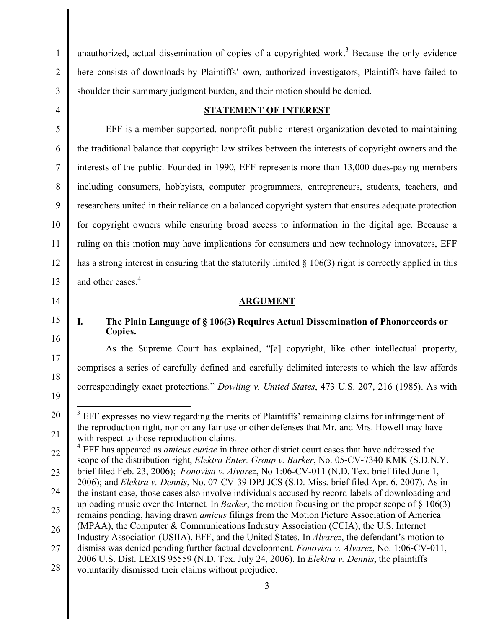unauthorized, actual dissemination of copies of a copyrighted work.<sup>3</sup> Because the only evidence here consists of downloads by Plaintiffs' own, authorized investigators, Plaintiffs have failed to shoulder their summary judgment burden, and their motion should be denied.

# **STATEMENT OF INTEREST**

EFF is a member-supported, nonprofit public interest organization devoted to maintaining the traditional balance that copyright law strikes between the interests of copyright owners and the interests of the public. Founded in 1990, EFF represents more than 13,000 dues-paying members including consumers, hobbyists, computer programmers, entrepreneurs, students, teachers, and researchers united in their reliance on a balanced copyright system that ensures adequate protection for copyright owners while ensuring broad access to information in the digital age. Because a ruling on this motion may have implications for consumers and new technology innovators, EFF has a strong interest in ensuring that the statutorily limited  $\S$  106(3) right is correctly applied in this and other cases. 4

# **ARGUMENT**

# **I. The Plain Language of § 106(3) Requires Actual Dissemination of Phonorecords or Copies.**

As the Supreme Court has explained, "[a] copyright, like other intellectual property, comprises a series of carefully defined and carefully delimited interests to which the law affords correspondingly exact protections." *Dowling v. United States*, 473 U.S. 207, 216 (1985). As with

22 23 24 25 26 27 scope of the distribution right, *Elektra Enter. Group v. Barker*, No. 05-CV-7340 KMK (S.D.N.Y. brief filed Feb. 23, 2006); *Fonovisa v. Alvarez*, No 1:06-CV-011 (N.D. Tex. brief filed June 1, 2006); and *Elektra v. Dennis*, No. 07-CV-39 DPJ JCS (S.D. Miss. brief filed Apr. 6, 2007). As in the instant case, those cases also involve individuals accused by record labels of downloading and uploading music over the Internet. In *Barker*, the motion focusing on the proper scope of § 106(3) remains pending, having drawn *amicus* filings from the Motion Picture Association of America (MPAA), the Computer & Communications Industry Association (CCIA), the U.S. Internet Industry Association (USIIA), EFF, and the United States. In *Alvarez*, the defendant's motion to dismiss was denied pending further factual development. *Fonovisa v. Alvarez*, No. 1:06-CV-011,

- 2006 U.S. Dist. LEXIS 95559 (N.D. Tex. July 24, 2006). In *Elektra v. Dennis*, the plaintiffs
- voluntarily dismissed their claims without prejudice.

<sup>&</sup>lt;sup>3</sup> EFF expresses no view regarding the merits of Plaintiffs' remaining claims for infringement of the reproduction right, nor on any fair use or other defenses that Mr. and Mrs. Howell may have with respect to those reproduction claims.<br><sup>4</sup> EFF has appeared as *amicus curiae* in three other district court cases that have addressed the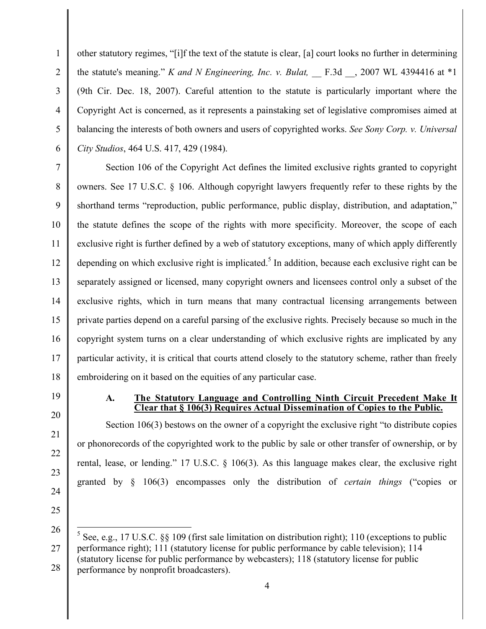other statutory regimes, "[i]f the text of the statute is clear, [a] court looks no further in determining the statute's meaning." *K* and *N Engineering, Inc. v. Bulat,*  $\qquad$  F.3d  $\qquad$ , 2007 WL 4394416 at \*1 (9th Cir. Dec. 18, 2007). Careful attention to the statute is particularly important where the Copyright Act is concerned, as it represents a painstaking set of legislative compromises aimed at balancing the interests of both owners and users of copyrighted works. *See Sony Corp. v. Universal City Studios*, 464 U.S. 417, 429 (1984).

7 8 9 10 11 12 13 14 15 16 17 18 Section 106 of the Copyright Act defines the limited exclusive rights granted to copyright owners. See 17 U.S.C. § 106. Although copyright lawyers frequently refer to these rights by the shorthand terms "reproduction, public performance, public display, distribution, and adaptation," the statute defines the scope of the rights with more specificity. Moreover, the scope of each exclusive right is further defined by a web of statutory exceptions, many of which apply differently depending on which exclusive right is implicated.<sup>5</sup> In addition, because each exclusive right can be separately assigned or licensed, many copyright owners and licensees control only a subset of the exclusive rights, which in turn means that many contractual licensing arrangements between private parties depend on a careful parsing of the exclusive rights. Precisely because so much in the copyright system turns on a clear understanding of which exclusive rights are implicated by any particular activity, it is critical that courts attend closely to the statutory scheme, rather than freely embroidering on it based on the equities of any particular case.

19

20

21

22

23

24

25

1

2

3

4

5

6

#### **A. The Statutory Language and Controlling Ninth Circuit Precedent Make It Clear that § 106(3) Requires Actual Dissemination of Copies to the Public.**

Section 106(3) bestows on the owner of a copyright the exclusive right "to distribute copies or phonorecords of the copyrighted work to the public by sale or other transfer of ownership, or by rental, lease, or lending." 17 U.S.C. § 106(3). As this language makes clear, the exclusive right granted by § 106(3) encompasses only the distribution of *certain things* ("copies or

<sup>26</sup> 27 28 5 See, e.g., <sup>17</sup> U.S.C. §§ 109 (first sale limitation on distribution right); <sup>110</sup> (exceptions to public performance right); 111 (statutory license for public performance by cable television); 114 (statutory license for public performance by webcasters); 118 (statutory license for public performance by nonprofit broadcasters).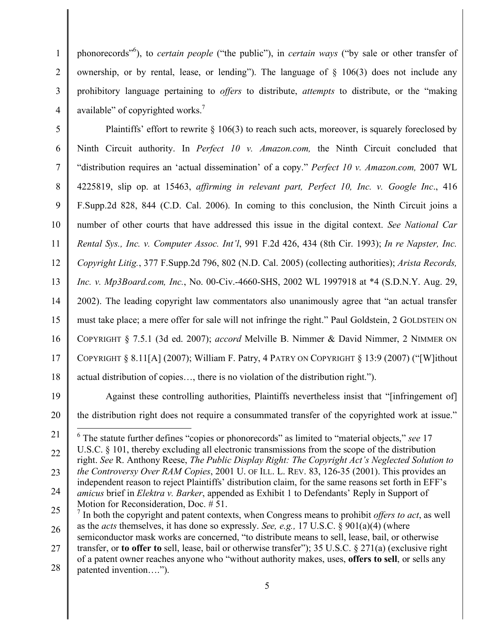phonorecords" 6 ), to *certain people* ("the public"), in *certain ways* ("by sale or other transfer of ownership, or by rental, lease, or lending"). The language of  $\frac{106(3)}{3}$  does not include any prohibitory language pertaining to *offers* to distribute, *attempts* to distribute, or the "making available" of copyrighted works.<sup>7</sup>

5 6 7 8 9 10 11 12 13 14 15 16 17 18 Plaintiffs' effort to rewrite § 106(3) to reach such acts, moreover, is squarely foreclosed by Ninth Circuit authority. In *Perfect 10 v. Amazon.com,* the Ninth Circuit concluded that "distribution requires an 'actual dissemination' of a copy." *Perfect 10 v. Amazon.com,* 2007 WL 4225819, slip op. at 15463, *affirming in relevant part, Perfect 10, Inc. v. Google Inc*., 416 F.Supp.2d 828, 844 (C.D. Cal. 2006). In coming to this conclusion, the Ninth Circuit joins a number of other courts that have addressed this issue in the digital context. *See National Car Rental Sys., Inc. v. Computer Assoc. Int'l*, 991 F.2d 426, 434 (8th Cir. 1993); *In re Napster, Inc. Copyright Litig.*, 377 F.Supp.2d 796, 802 (N.D. Cal. 2005) (collecting authorities); *Arista Records, Inc. v. Mp3Board.com, Inc.*, No. 00-Civ.-4660-SHS, 2002 WL 1997918 at \*4 (S.D.N.Y. Aug. 29, 2002). The leading copyright law commentators also unanimously agree that "an actual transfer must take place; a mere offer for sale will not infringe the right." Paul Goldstein, 2 GOLDSTEIN ON COPYRIGHT § 7.5.1 (3d ed. 2007); *accord* Melville B. Nimmer & David Nimmer, 2 NIMMER ON COPYRIGHT § 8.11[A] (2007); William F. Patry, 4 PATRY ON COPYRIGHT § 13:9 (2007) ("[W]ithout actual distribution of copies…, there is no violation of the distribution right.").

19

20

1

2

3

4

Against these controlling authorities, Plaintiffs nevertheless insist that "[infringement of] the distribution right does not require a consummated transfer of the copyrighted work at issue."

21 22 23 24 6 The statute further defines "copies or phonorecords" as limited to "material objects," *see* <sup>17</sup> U.S.C. § 101, thereby excluding all electronic transmissions from the scope of the distribution right. *See* R. Anthony Reese, *The Public Display Right: The Copyright Act's Neglected Solution to the Controversy Over RAM Copies*, 2001 U. OF ILL. L. REV. 83, 126-35 (2001). This provides an independent reason to reject Plaintiffs' distribution claim, for the same reasons set forth in EFF's *amicus* brief in *Elektra v. Barker*, appended as Exhibit 1 to Defendants' Reply in Support of Motion for Reconsideration, Doc. # 51.

25 26 27 <sup>7</sup> In both the copyright and patent contexts, when Congress means to prohibit *offers to act*, as well as the *acts* themselves, it has done so expressly. *See, e.g.,* 17 U.S.C. § 901(a)(4) (where semiconductor mask works are concerned, "to distribute means to sell, lease, bail, or otherwise transfer, or **to offer to** sell, lease, bail or otherwise transfer"); 35 U.S.C. § 271(a) (exclusive right of a patent owner reaches anyone who "without authority makes, uses, **offers to sell**, or sells any

28 patented invention….").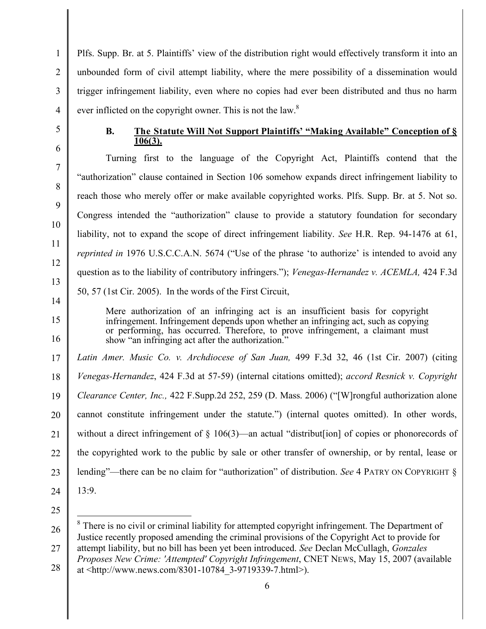Plfs. Supp. Br. at 5. Plaintiffs' view of the distribution right would effectively transform it into an unbounded form of civil attempt liability, where the mere possibility of a dissemination would trigger infringement liability, even where no copies had ever been distributed and thus no harm ever inflicted on the copyright owner. This is not the law. $8$ 

# **B. The Statute Will Not Support Plaintiffs' "Making Available" Conception of § 106(3).**

Turning first to the language of the Copyright Act, Plaintiffs contend that the "authorization" clause contained in Section 106 somehow expands direct infringement liability to reach those who merely offer or make available copyrighted works. Plfs. Supp. Br. at 5. Not so. Congress intended the "authorization" clause to provide a statutory foundation for secondary liability, not to expand the scope of direct infringement liability. *See* H.R. Rep. 94-1476 at 61, *reprinted in* 1976 U.S.C.C.A.N. 5674 ("Use of the phrase 'to authorize' is intended to avoid any question as to the liability of contributory infringers."); *Venegas-Hernandez v. ACEMLA,* 424 F.3d 50, 57 (1st Cir. 2005). In the words of the First Circuit,

Mere authorization of an infringing act is an insufficient basis for copyright infringement. Infringement depends upon whether an infringing act, such as copying or performing, has occurred. Therefore, to prove infringement, a claimant must show "an infringing act after the authorization."

*Latin Amer. Music Co. v. Archdiocese of San Juan,* 499 F.3d 32, 46 (1st Cir. 2007) (citing *Venegas-Hernandez*, 424 F.3d at 57-59) (internal citations omitted); *accord Resnick v. Copyright Clearance Center, Inc.,* 422 F.Supp.2d 252, 259 (D. Mass. 2006) ("[W]rongful authorization alone cannot constitute infringement under the statute.") (internal quotes omitted). In other words, without a direct infringement of  $\S$  106(3)—an actual "distribut [ion] of copies or phonorecords of the copyrighted work to the public by sale or other transfer of ownership, or by rental, lease or lending"—there can be no claim for "authorization" of distribution. *See* 4 PATRY ON COPYRIGHT §  $13.9$ 

1

 $\mathfrak{D}$ 

3

<sup>26</sup> 27 28 <sup>8</sup> There is no civil or criminal liability for attempted copyright infringement. The Department of Justice recently proposed amending the criminal provisions of the Copyright Act to provide for attempt liability, but no bill has been yet been introduced. *See* Declan McCullagh, *Gonzales Proposes New Crime: 'Attempted' Copyright Infringement*, CNET NEWS, May 15, 2007 (available at <http://www.news.com/8301-10784\_3-9719339-7.html>).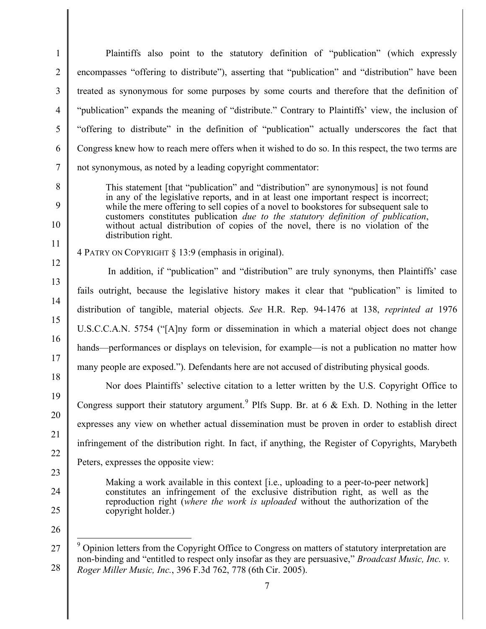Plaintiffs also point to the statutory definition of "publication" (which expressly encompasses "offering to distribute"), asserting that "publication" and "distribution" have been treated as synonymous for some purposes by some courts and therefore that the definition of "publication" expands the meaning of "distribute." Contrary to Plaintiffs' view, the inclusion of "offering to distribute" in the definition of "publication" actually underscores the fact that Congress knew how to reach mere offers when it wished to do so. In this respect, the two terms are not synonymous, as noted by a leading copyright commentator:

This statement [that "publication" and "distribution" are synonymous] is not found in any of the legislative reports, and in at least one important respect is incorrect; while the mere offering to sell copies of a novel to bookstores for subsequent sale to customers constitutes publication *due to the statutory definition of publication*, without actual distribution of copies of the novel, there is no violation of the distribution right.

1

 $\mathcal{L}$ 

3

4

5

6

7

8

9

10

11

12

13

14

15

16

17

18

19

20

21

22

23

24

4 PATRY ON COPYRIGHT § 13:9 (emphasis in original).

In addition, if "publication" and "distribution" are truly synonyms, then Plaintiffs' case fails outright, because the legislative history makes it clear that "publication" is limited to distribution of tangible, material objects. *See* H.R. Rep. 94-1476 at 138, *reprinted at* 1976 U.S.C.C.A.N. 5754 ("[A]ny form or dissemination in which a material object does not change hands—performances or displays on television, for example—is not a publication no matter how many people are exposed."). Defendants here are not accused of distributing physical goods.

Nor does Plaintiffs' selective citation to a letter written by the U.S. Copyright Office to Congress support their statutory argument.<sup>9</sup> Plfs Supp. Br. at 6  $\&$  Exh. D. Nothing in the letter expresses any view on whether actual dissemination must be proven in order to establish direct infringement of the distribution right. In fact, if anything, the Register of Copyrights, Marybeth Peters, expresses the opposite view:

Making a work available in this context [i.e., uploading to a peer-to-peer network] constitutes an infringement of the exclusive distribution right, as well as the reproduction right (*where the work is uploaded* without the authorization of the

copyright holder.)

- 25
- 26

<sup>27</sup> 28  $9^9$  Opinion letters from the Copyright Office to Congress on matters of statutory interpretation are non-binding and "entitled to respect only insofar as they are persuasive," *Broadcast Music, Inc. v. Roger Miller Music, Inc.*, 396 F.3d 762, 778 (6th Cir. 2005).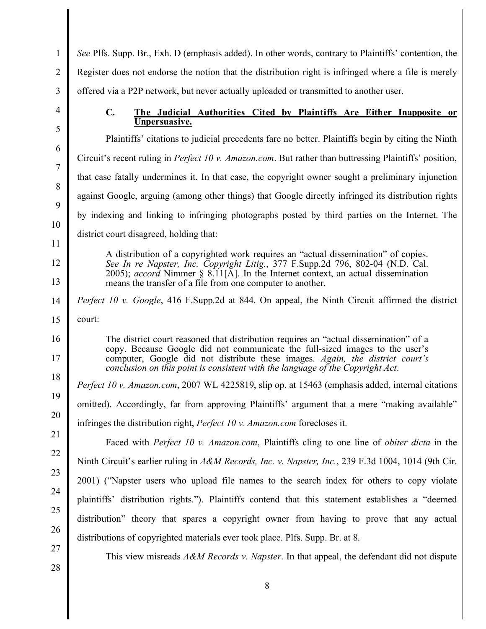*See* Plfs. Supp. Br., Exh. D (emphasis added). In other words, contrary to Plaintiffs' contention, the Register does not endorse the notion that the distribution right is infringed where a file is merely offered via a P2P network, but never actually uploaded or transmitted to another user.

# **C. The Judicial Authorities Cited by Plaintiffs Are Either Inapposite or Unpersuasive.**

Plaintiffs' citations to judicial precedents fare no better. Plaintiffs begin by citing the Ninth Circuit's recent ruling in *Perfect 10 v. Amazon.com*. But rather than buttressing Plaintiffs' position, that case fatally undermines it. In that case, the copyright owner sought a preliminary injunction against Google, arguing (among other things) that Google directly infringed its distribution rights by indexing and linking to infringing photographs posted by third parties on the Internet. The district court disagreed, holding that:

A distribution of a copyrighted work requires an "actual dissemination" of copies.<br>See In re Napster, Inc. Copyright Litig., 377 F.Supp.2d 796, 802-04 (N.D. Cal. 2005); *accord* Nimmer § 8.11[A]. In the Internet context, an actual dissemination means the transfer of a file from one computer to another.

*Perfect 10 v. Google*, 416 F.Supp.2d at 844. On appeal, the Ninth Circuit affirmed the district court:

The district court reasoned that distribution requires an "actual dissemination" of a copy. Because Google did not communicate the full-sized images to the user's computer, Google did not distribute these images. *Again, the district court's conclusion on this point is consistent with the language of the Copyright Act*.

*Perfect 10 v. Amazon.com*, 2007 WL 4225819, slip op. at 15463 (emphasis added, internal citations omitted). Accordingly, far from approving Plaintiffs' argument that a mere "making available" infringes the distribution right, *Perfect 10 v. Amazon.com* forecloses it.

Faced with *Perfect 10 v. Amazon.com*, Plaintiffs cling to one line of *obiter dicta* in the Ninth Circuit's earlier ruling in *A&M Records, Inc. v. Napster, Inc.*, 239 F.3d 1004, 1014 (9th Cir. 2001) ("Napster users who upload file names to the search index for others to copy violate plaintiffs' distribution rights."). Plaintiffs contend that this statement establishes a "deemed distribution" theory that spares a copyright owner from having to prove that any actual distributions of copyrighted materials ever took place. Plfs. Supp. Br. at 8.

This view misreads *A&M Records v. Napster*. In that appeal, the defendant did not dispute

1

 $\mathcal{L}$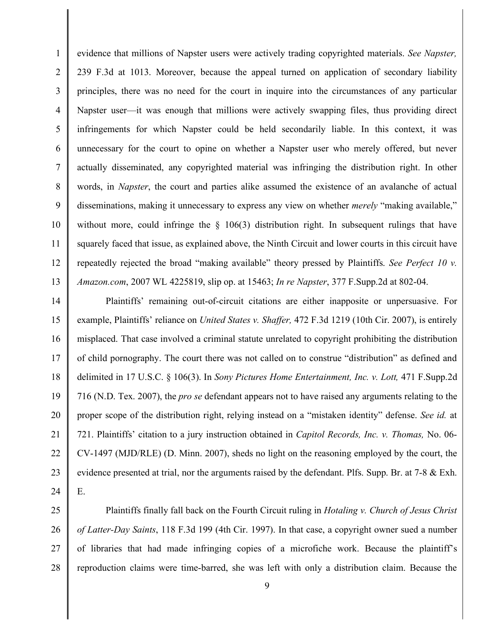4 5 7 8 9 evidence that millions of Napster users were actively trading copyrighted materials. *See Napster,* 239 F.3d at 1013. Moreover, because the appeal turned on application of secondary liability principles, there was no need for the court in inquire into the circumstances of any particular Napster user—it was enough that millions were actively swapping files, thus providing direct infringements for which Napster could be held secondarily liable. In this context, it was unnecessary for the court to opine on whether a Napster user who merely offered, but never actually disseminated, any copyrighted material was infringing the distribution right. In other words, in *Napster*, the court and parties alike assumed the existence of an avalanche of actual disseminations, making it unnecessary to express any view on whether *merely* "making available," without more, could infringe the  $\S$  106(3) distribution right. In subsequent rulings that have squarely faced that issue, as explained above, the Ninth Circuit and lower courts in this circuit have repeatedly rejected the broad "making available" theory pressed by Plaintiffs. *See Perfect 10 v. Amazon.com*, 2007 WL 4225819, slip op. at 15463; *In re Napster*, 377 F.Supp.2d at 802-04.

1

2

3

6

10

11

12

13

14 15 16 17 18 19 20 21 22 23 24 Plaintiffs' remaining out-of-circuit citations are either inapposite or unpersuasive. For example, Plaintiffs' reliance on *United States v. Shaffer,* 472 F.3d 1219 (10th Cir. 2007), is entirely misplaced. That case involved a criminal statute unrelated to copyright prohibiting the distribution of child pornography. The court there was not called on to construe "distribution" as defined and delimited in 17 U.S.C. § 106(3). In *Sony Pictures Home Entertainment, Inc. v. Lott,* 471 F.Supp.2d 716 (N.D. Tex. 2007), the *pro se* defendant appears not to have raised any arguments relating to the proper scope of the distribution right, relying instead on a "mistaken identity" defense. *See id.* at 721. Plaintiffs' citation to a jury instruction obtained in *Capitol Records, Inc. v. Thomas,* No. 06- CV-1497 (MJD/RLE) (D. Minn. 2007), sheds no light on the reasoning employed by the court, the evidence presented at trial, nor the arguments raised by the defendant. Plfs. Supp. Br. at 7-8 & Exh. E.

25 26 27 28 Plaintiffs finally fall back on the Fourth Circuit ruling in *Hotaling v. Church of Jesus Christ of Latter-Day Saints*, 118 F.3d 199 (4th Cir. 1997). In that case, a copyright owner sued a number of libraries that had made infringing copies of a microfiche work. Because the plaintiff's reproduction claims were time-barred, she was left with only a distribution claim. Because the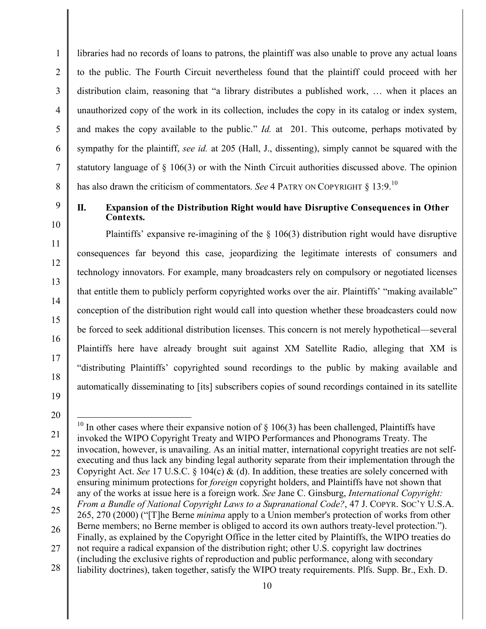libraries had no records of loans to patrons, the plaintiff was also unable to prove any actual loans to the public. The Fourth Circuit nevertheless found that the plaintiff could proceed with her distribution claim, reasoning that "a library distributes a published work, … when it places an unauthorized copy of the work in its collection, includes the copy in its catalog or index system, and makes the copy available to the public." *Id.* at 201. This outcome, perhaps motivated by sympathy for the plaintiff, *see id.* at 205 (Hall, J., dissenting), simply cannot be squared with the statutory language of § 106(3) or with the Ninth Circuit authorities discussed above. The opinion has also drawn the criticism of commentators. *See* 4 PATRY ON COPYRIGHT § 13:9.<sup>10</sup>

9

10

11

12

13

14

15

16

17

18

1

 $\mathfrak{D}$ 

3

4

5

6

7

8

# **II. Expansion of the Distribution Right would have Disruptive Consequences in Other Contexts.**

Plaintiffs' expansive re-imagining of the § 106(3) distribution right would have disruptive consequences far beyond this case, jeopardizing the legitimate interests of consumers and technology innovators. For example, many broadcasters rely on compulsory or negotiated licenses that entitle them to publicly perform copyrighted works over the air. Plaintiffs' "making available" conception of the distribution right would call into question whether these broadcasters could now be forced to seek additional distribution licenses. This concern is not merely hypothetical—several Plaintiffs here have already brought suit against XM Satellite Radio, alleging that XM is "distributing Plaintiffs' copyrighted sound recordings to the public by making available and automatically disseminating to [its] subscribers copies of sound recordings contained in its satellite

<sup>21</sup> 22 23 24 25 26 27 28 <sup>10</sup> In other cases where their expansive notion of  $\S$  106(3) has been challenged, Plaintiffs have invoked the WIPO Copyright Treaty and WIPO Performances and Phonograms Treaty. The invocation, however, is unavailing. As an initial matter, international copyright treaties are not selfexecuting and thus lack any binding legal authority separate from their implementation through the Copyright Act. *See* 17 U.S.C. § 104(c) & (d). In addition, these treaties are solely concerned with ensuring minimum protections for *foreign* copyright holders, and Plaintiffs have not shown that any of the works at issue here is a foreign work. *See* Jane C. Ginsburg, *International Copyright: From a Bundle of National Copyright Laws to a Supranational Code?*, 47 J. COPYR. SOC'Y U.S.A. 265, 270 (2000) ("[T]he Berne *minima* apply to a Union member's protection of works from other Berne members; no Berne member is obliged to accord its own authors treaty-level protection."). Finally, as explained by the Copyright Office in the letter cited by Plaintiffs, the WIPO treaties do not require a radical expansion of the distribution right; other U.S. copyright law doctrines (including the exclusive rights of reproduction and public performance, along with secondary liability doctrines), taken together, satisfy the WIPO treaty requirements. Plfs. Supp. Br., Exh. D.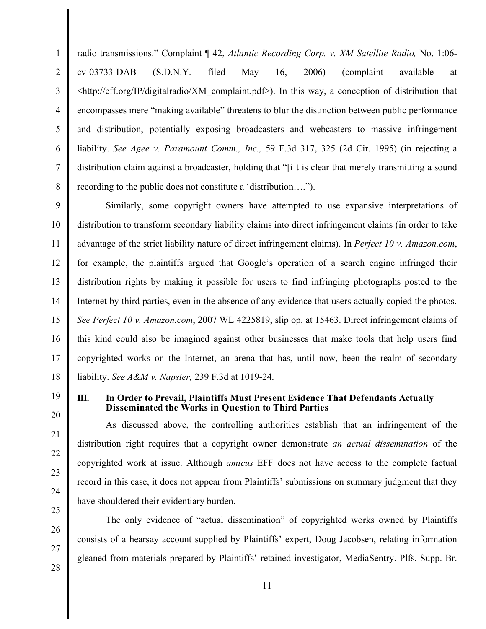radio transmissions." Complaint ¶ 42, *Atlantic Recording Corp. v. XM Satellite Radio,* No. 1:06 cv-03733-DAB (S.D.N.Y. filed May 16, 2006) (complaint available at <http://eff.org/IP/digitalradio/XM\_complaint.pdf>). In this way, a conception of distribution that encompasses mere "making available" threatens to blur the distinction between public performance and distribution, potentially exposing broadcasters and webcasters to massive infringement liability. *See Agee v. Paramount Comm., Inc.,* 59 F.3d 317, 325 (2d Cir. 1995) (in rejecting a distribution claim against a broadcaster, holding that "[i]t is clear that merely transmitting a sound recording to the public does not constitute a 'distribution….").

9 Similarly, some copyright owners have attempted to use expansive interpretations of distribution to transform secondary liability claims into direct infringement claims (in order to take advantage of the strict liability nature of direct infringement claims). In *Perfect 10 v. Amazon.com*, for example, the plaintiffs argued that Google's operation of a search engine infringed their distribution rights by making it possible for users to find infringing photographs posted to the Internet by third parties, even in the absence of any evidence that users actually copied the photos. *See Perfect 10 v. Amazon.com*, 2007 WL 4225819, slip op. at 15463. Direct infringement claims of this kind could also be imagined against other businesses that make tools that help users find copyrighted works on the Internet, an arena that has, until now, been the realm of secondary liability. *See A&M v. Napster,* 239 F.3d at 1019-24.

#### **III. In Order to Prevail, Plaintiffs Must Present Evidence That Defendants Actually Disseminated the Works in Question to Third Parties**

As discussed above, the controlling authorities establish that an infringement of the distribution right requires that a copyright owner demonstrate *an actual dissemination* of the copyrighted work at issue. Although *amicus* EFF does not have access to the complete factual record in this case, it does not appear from Plaintiffs' submissions on summary judgment that they have shouldered their evidentiary burden.

The only evidence of "actual dissemination" of copyrighted works owned by Plaintiffs consists of a hearsay account supplied by Plaintiffs' expert, Doug Jacobsen, relating information gleaned from materials prepared by Plaintiffs' retained investigator, MediaSentry. Plfs. Supp. Br.

1

 $\mathfrak{D}$ 

3

4

5

6

7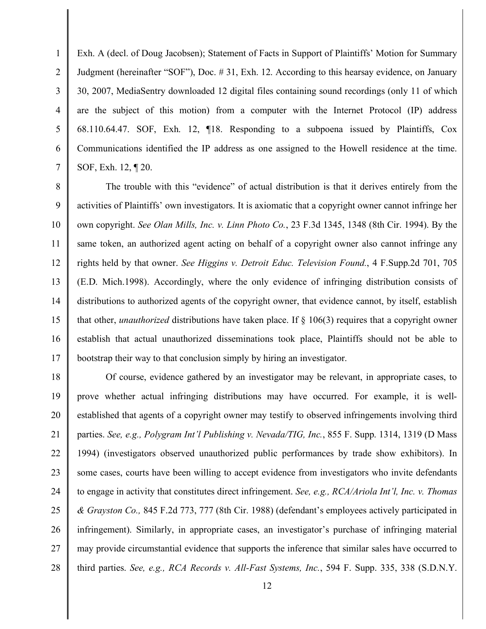Exh. A (decl. of Doug Jacobsen); Statement of Facts in Support of Plaintiffs' Motion for Summary Judgment (hereinafter "SOF"), Doc. # 31, Exh. 12. According to this hearsay evidence, on January 30, 2007, MediaSentry downloaded 12 digital files containing sound recordings (only 11 of which are the subject of this motion) from a computer with the Internet Protocol (IP) address 68.110.64.47. SOF, Exh. 12, ¶18. Responding to a subpoena issued by Plaintiffs, Cox Communications identified the IP address as one assigned to the Howell residence at the time. SOF, Exh. 12, ¶ 20.

1

 $\mathfrak{D}$ 

3

4

5

6

7

8 9 10 11 12 13 14 15 16 17 The trouble with this "evidence" of actual distribution is that it derives entirely from the activities of Plaintiffs' own investigators. It is axiomatic that a copyright owner cannot infringe her own copyright. *See Olan Mills, Inc. v. Linn Photo Co.*, 23 F.3d 1345, 1348 (8th Cir. 1994). By the same token, an authorized agent acting on behalf of a copyright owner also cannot infringe any rights held by that owner. *See Higgins v. Detroit Educ. Television Found.*, 4 F.Supp.2d 701, 705 (E.D. Mich.1998). Accordingly, where the only evidence of infringing distribution consists of distributions to authorized agents of the copyright owner, that evidence cannot, by itself, establish that other, *unauthorized* distributions have taken place. If § 106(3) requires that a copyright owner establish that actual unauthorized disseminations took place, Plaintiffs should not be able to bootstrap their way to that conclusion simply by hiring an investigator.

18 19 20 21 22 23 24 25 26 27 28 Of course, evidence gathered by an investigator may be relevant, in appropriate cases, to prove whether actual infringing distributions may have occurred. For example, it is wellestablished that agents of a copyright owner may testify to observed infringements involving third parties. *See, e.g., Polygram Int'l Publishing v. Nevada/TIG, Inc.*, 855 F. Supp. 1314, 1319 (D Mass 1994) (investigators observed unauthorized public performances by trade show exhibitors). In some cases, courts have been willing to accept evidence from investigators who invite defendants to engage in activity that constitutes direct infringement. *See, e.g., RCA/Ariola Int'l, Inc. v. Thomas & Grayston Co.,* 845 F.2d 773, 777 (8th Cir. 1988) (defendant's employees actively participated in infringement). Similarly, in appropriate cases, an investigator's purchase of infringing material may provide circumstantial evidence that supports the inference that similar sales have occurred to third parties. *See, e.g., RCA Records v. All-Fast Systems, Inc.*, 594 F. Supp. 335, 338 (S.D.N.Y.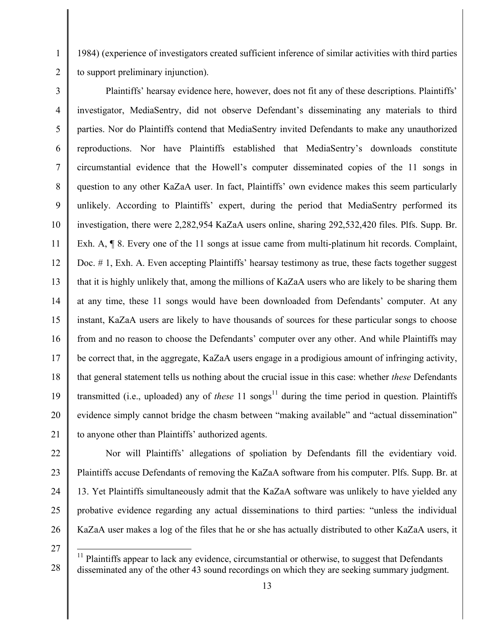1984) (experience of investigators created sufficient inference of similar activities with third parties to support preliminary injunction).

3 4 5 6 7 8 9 10 11 12 13 14 15 16 17 18 Plaintiffs' hearsay evidence here, however, does not fit any of these descriptions. Plaintiffs' investigator, MediaSentry, did not observe Defendant's disseminating any materials to third parties. Nor do Plaintiffs contend that MediaSentry invited Defendants to make any unauthorized reproductions. Nor have Plaintiffs established that MediaSentry's downloads constitute circumstantial evidence that the Howell's computer disseminated copies of the 11 songs in question to any other KaZaA user. In fact, Plaintiffs' own evidence makes this seem particularly unlikely. According to Plaintiffs' expert, during the period that MediaSentry performed its investigation, there were 2,282,954 KaZaA users online, sharing 292,532,420 files. Plfs. Supp. Br. Exh. A,  $\P$  8. Every one of the 11 songs at issue came from multi-platinum hit records. Complaint, Doc. # 1, Exh. A. Even accepting Plaintiffs' hearsay testimony as true, these facts together suggest that it is highly unlikely that, among the millions of KaZaA users who are likely to be sharing them at any time, these 11 songs would have been downloaded from Defendants' computer. At any instant, KaZaA users are likely to have thousands of sources for these particular songs to choose from and no reason to choose the Defendants' computer over any other. And while Plaintiffs may be correct that, in the aggregate, KaZaA users engage in a prodigious amount of infringing activity, that general statement tells us nothing about the crucial issue in this case: whether *these* Defendants transmitted (i.e., uploaded) any of *these* 11 songs <sup>11</sup> during the time period in question. Plaintiffs evidence simply cannot bridge the chasm between "making available" and "actual dissemination" to anyone other than Plaintiffs' authorized agents.

1

 $\mathfrak{D}$ 

Nor will Plaintiffs' allegations of spoliation by Defendants fill the evidentiary void. Plaintiffs accuse Defendants of removing the KaZaA software from his computer. Plfs. Supp. Br. at 13. Yet Plaintiffs simultaneously admit that the KaZaA software was unlikely to have yielded any probative evidence regarding any actual disseminations to third parties: "unless the individual KaZaA user makes a log of the files that he or she has actually distributed to other KaZaA users, it

 $<sup>11</sup>$  Plaintiffs appear to lack any evidence, circumstantial or otherwise, to suggest that Defendants</sup> disseminated any of the other 43 sound recordings on which they are seeking summary judgment.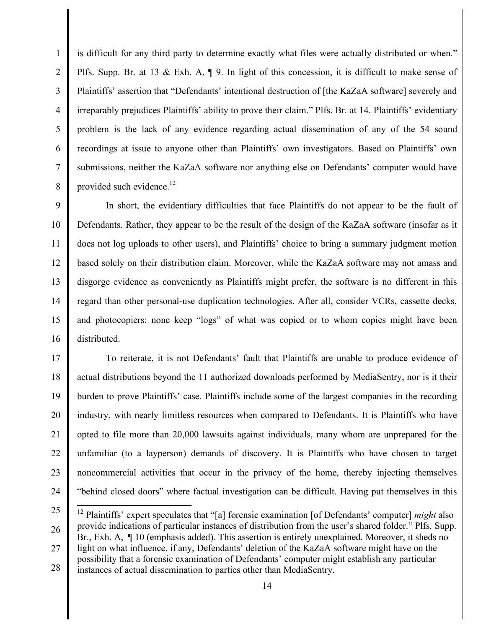is difficult for any third party to determine exactly what files were actually distributed or when." Plfs. Supp. Br. at 13 & Exh. A, ¶ 9. In light of this concession, it is difficult to make sense of Plaintiffs' assertion that "Defendants' intentional destruction of [the KaZaA software] severely and irreparably prejudices Plaintiffs' ability to prove their claim." Plfs. Br. at 14. Plaintiffs' evidentiary problem is the lack of any evidence regarding actual dissemination of any of the 54 sound recordings at issue to anyone other than Plaintiffs' own investigators. Based on Plaintiffs' own submissions, neither the KaZaA software nor anything else on Defendants' computer would have provided such evidence.<sup>12</sup>

1

 $\mathfrak{D}$ 

3

4

5

6

7

8

9 10 11 12 13 14 15 16 In short, the evidentiary difficulties that face Plaintiffs do not appear to be the fault of Defendants. Rather, they appear to be the result of the design of the KaZaA software (insofar as it does not log uploads to other users), and Plaintiffs' choice to bring a summary judgment motion based solely on their distribution claim. Moreover, while the KaZaA software may not amass and disgorge evidence as conveniently as Plaintiffs might prefer, the software is no different in this regard than other personal-use duplication technologies. After all, consider VCRs, cassette decks, and photocopiers: none keep "logs" of what was copied or to whom copies might have been distributed.

17 18 19 20 21 22 23 24 To reiterate, it is not Defendants' fault that Plaintiffs are unable to produce evidence of actual distributions beyond the 11 authorized downloads performed by MediaSentry, nor is it their burden to prove Plaintiffs' case. Plaintiffs include some of the largest companies in the recording industry, with nearly limitless resources when compared to Defendants. It is Plaintiffs who have opted to file more than 20,000 lawsuits against individuals, many whom are unprepared for the unfamiliar (to a layperson) demands of discovery. It is Plaintiffs who have chosen to target noncommercial activities that occur in the privacy of the home, thereby injecting themselves "behind closed doors" where factual investigation can be difficult. Having put themselves in this

<sup>25</sup> 26 27 28 <sup>12</sup> Plaintiffs' expert speculates that "[a] forensic examination [of Defendants' computer] *might* also provide indications of particular instances of distribution from the user's shared folder." Plfs. Supp. Br., Exh. A,  $\P$  10 (emphasis added). This assertion is entirely unexplained. Moreover, it sheds no light on what influence, if any, Defendants' deletion of the KaZaA software might have on the possibility that a forensic examination of Defendants' computer might establish any particular instances of actual dissemination to parties other than MediaSentry.